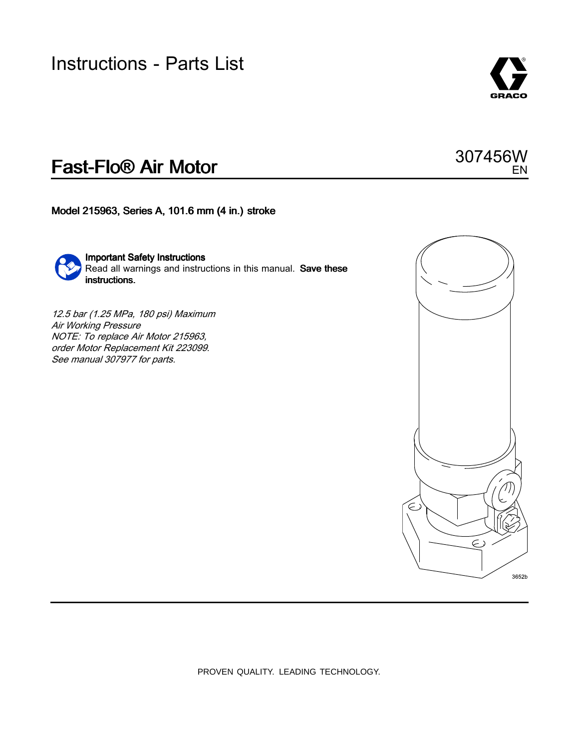### Instructions - Parts List



EN

307456W

## Fast-Flo® Air Motor

Model 215963, Series A, 101.6 mm (4 in.) stroke



Important Safety Instructions Read all warnings and instructions in this manual. Save these instructions.

12.5 bar (1.25 MPa, <sup>180</sup> psi) Maximum Air Working Pressure NOTE: To replace Air Motor 215963, order Motor Replacement Kit 223099. See manual <sup>307977</sup> for parts.



PROVEN QUALITY. LEADING TECHNOLOGY.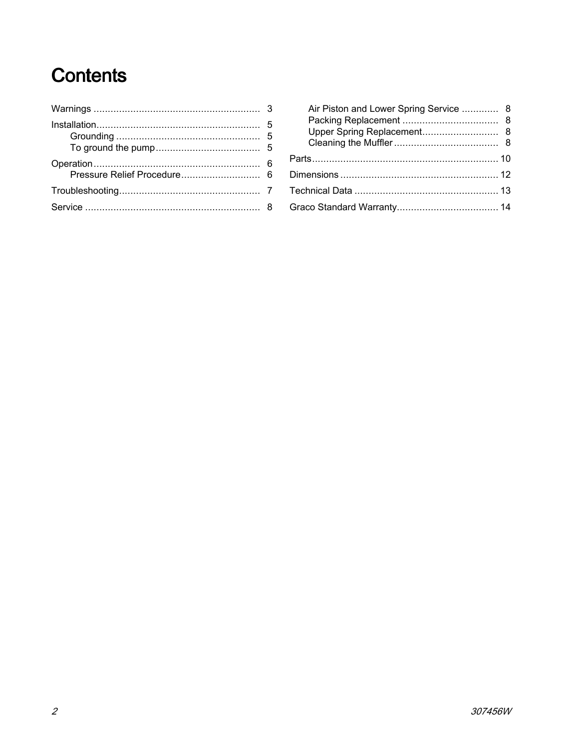## **Contents**

| Air Piston and Lower Spring Service  8 |  |
|----------------------------------------|--|
|                                        |  |
|                                        |  |
|                                        |  |
|                                        |  |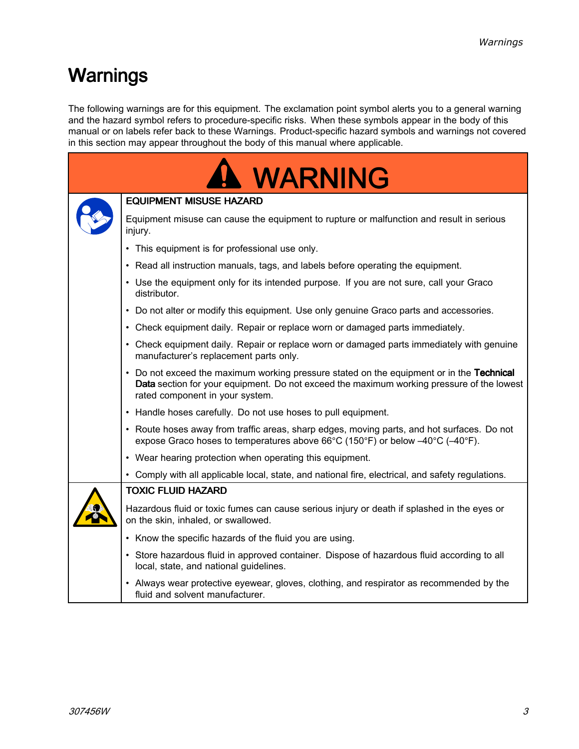## <span id="page-2-0"></span>Warnings

The following warnings are for this equipment. The exclamation point symbol alerts you to <sup>a</sup> general warning and the hazard symbol refers to procedure-specific risks. When these symbols appear in the body of this manual or on labels refer back to these Warnings. Product-specific hazard symbols and warnings not covered in this section may appear throughout the body of this manual where applicable.

| <b>WARNING</b> |                                                                                                                                                                                                                          |  |  |  |
|----------------|--------------------------------------------------------------------------------------------------------------------------------------------------------------------------------------------------------------------------|--|--|--|
|                | <b>EQUIPMENT MISUSE HAZARD</b>                                                                                                                                                                                           |  |  |  |
|                | Equipment misuse can cause the equipment to rupture or malfunction and result in serious<br>injury.                                                                                                                      |  |  |  |
|                | • This equipment is for professional use only.                                                                                                                                                                           |  |  |  |
|                | • Read all instruction manuals, tags, and labels before operating the equipment.                                                                                                                                         |  |  |  |
|                | • Use the equipment only for its intended purpose. If you are not sure, call your Graco<br>distributor.                                                                                                                  |  |  |  |
|                | • Do not alter or modify this equipment. Use only genuine Graco parts and accessories.                                                                                                                                   |  |  |  |
|                | • Check equipment daily. Repair or replace worn or damaged parts immediately.                                                                                                                                            |  |  |  |
|                | • Check equipment daily. Repair or replace worn or damaged parts immediately with genuine<br>manufacturer's replacement parts only.                                                                                      |  |  |  |
|                | • Do not exceed the maximum working pressure stated on the equipment or in the Technical<br>Data section for your equipment. Do not exceed the maximum working pressure of the lowest<br>rated component in your system. |  |  |  |
|                | • Handle hoses carefully. Do not use hoses to pull equipment.                                                                                                                                                            |  |  |  |
|                | • Route hoses away from traffic areas, sharp edges, moving parts, and hot surfaces. Do not<br>expose Graco hoses to temperatures above 66°C (150°F) or below $-40^{\circ}$ C ( $-40^{\circ}$ F).                         |  |  |  |
|                | • Wear hearing protection when operating this equipment.                                                                                                                                                                 |  |  |  |
|                | • Comply with all applicable local, state, and national fire, electrical, and safety regulations.                                                                                                                        |  |  |  |
|                | <b>TOXIC FLUID HAZARD</b>                                                                                                                                                                                                |  |  |  |
|                | Hazardous fluid or toxic fumes can cause serious injury or death if splashed in the eyes or<br>on the skin, inhaled, or swallowed.                                                                                       |  |  |  |
|                | • Know the specific hazards of the fluid you are using.                                                                                                                                                                  |  |  |  |
|                | • Store hazardous fluid in approved container. Dispose of hazardous fluid according to all<br>local, state, and national guidelines.                                                                                     |  |  |  |
|                | • Always wear protective eyewear, gloves, clothing, and respirator as recommended by the<br>fluid and solvent manufacturer.                                                                                              |  |  |  |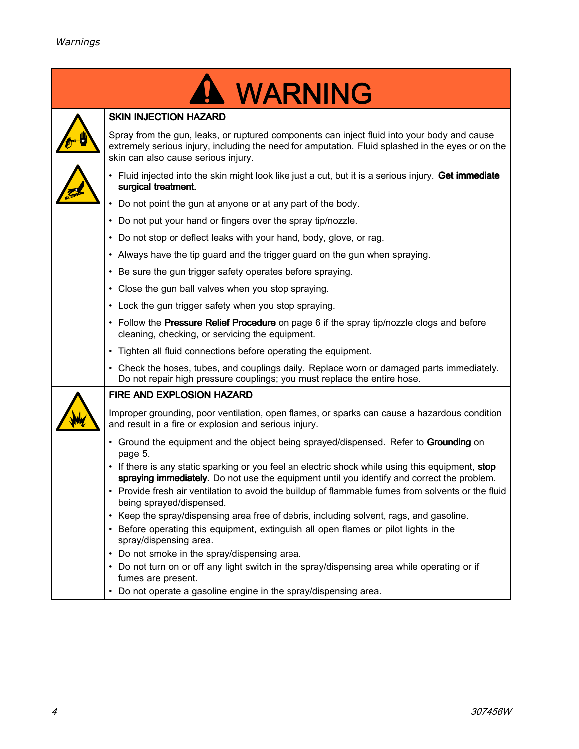|                                                     | WARNING                                                                                                                                                                                                                                                                                                                          |  |  |  |
|-----------------------------------------------------|----------------------------------------------------------------------------------------------------------------------------------------------------------------------------------------------------------------------------------------------------------------------------------------------------------------------------------|--|--|--|
|                                                     | <b>SKIN INJECTION HAZARD</b>                                                                                                                                                                                                                                                                                                     |  |  |  |
|                                                     | Spray from the gun, leaks, or ruptured components can inject fluid into your body and cause<br>extremely serious injury, including the need for amputation. Fluid splashed in the eyes or on the<br>skin can also cause serious injury.                                                                                          |  |  |  |
|                                                     | • Fluid injected into the skin might look like just a cut, but it is a serious injury. Get immediate<br>surgical treatment.                                                                                                                                                                                                      |  |  |  |
|                                                     | • Do not point the gun at anyone or at any part of the body.                                                                                                                                                                                                                                                                     |  |  |  |
|                                                     | • Do not put your hand or fingers over the spray tip/nozzle.                                                                                                                                                                                                                                                                     |  |  |  |
|                                                     | • Do not stop or deflect leaks with your hand, body, glove, or rag.                                                                                                                                                                                                                                                              |  |  |  |
|                                                     | • Always have the tip guard and the trigger guard on the gun when spraying.                                                                                                                                                                                                                                                      |  |  |  |
|                                                     | • Be sure the gun trigger safety operates before spraying.                                                                                                                                                                                                                                                                       |  |  |  |
| • Close the gun ball valves when you stop spraying. |                                                                                                                                                                                                                                                                                                                                  |  |  |  |
|                                                     | • Lock the gun trigger safety when you stop spraying.                                                                                                                                                                                                                                                                            |  |  |  |
|                                                     | • Follow the Pressure Relief Procedure on page 6 if the spray tip/nozzle clogs and before<br>cleaning, checking, or servicing the equipment.                                                                                                                                                                                     |  |  |  |
|                                                     | • Tighten all fluid connections before operating the equipment.                                                                                                                                                                                                                                                                  |  |  |  |
|                                                     | • Check the hoses, tubes, and couplings daily. Replace worn or damaged parts immediately.<br>Do not repair high pressure couplings; you must replace the entire hose.                                                                                                                                                            |  |  |  |
|                                                     | FIRE AND EXPLOSION HAZARD                                                                                                                                                                                                                                                                                                        |  |  |  |
|                                                     | Improper grounding, poor ventilation, open flames, or sparks can cause a hazardous condition<br>and result in a fire or explosion and serious injury.                                                                                                                                                                            |  |  |  |
|                                                     | • Ground the equipment and the object being sprayed/dispensed. Refer to Grounding on<br>page 5.                                                                                                                                                                                                                                  |  |  |  |
|                                                     | • If there is any static sparking or you feel an electric shock while using this equipment, stop<br>spraying immediately. Do not use the equipment until you identify and correct the problem.<br>• Provide fresh air ventilation to avoid the buildup of flammable fumes from solvents or the fluid<br>being sprayed/dispensed. |  |  |  |
|                                                     | • Keep the spray/dispensing area free of debris, including solvent, rags, and gasoline.<br>• Before operating this equipment, extinguish all open flames or pilot lights in the<br>spray/dispensing area.                                                                                                                        |  |  |  |
|                                                     | • Do not smoke in the spray/dispensing area.                                                                                                                                                                                                                                                                                     |  |  |  |
|                                                     | • Do not turn on or off any light switch in the spray/dispensing area while operating or if<br>fumes are present.                                                                                                                                                                                                                |  |  |  |
|                                                     | • Do not operate a gasoline engine in the spray/dispensing area.                                                                                                                                                                                                                                                                 |  |  |  |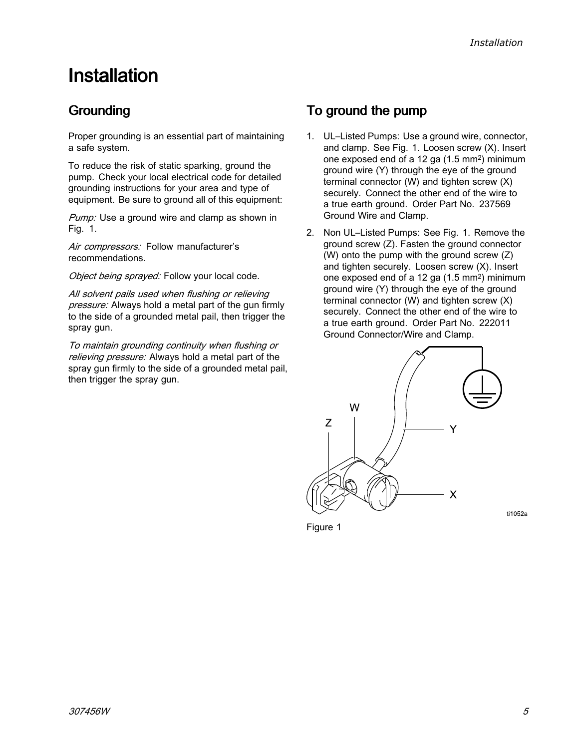## <span id="page-4-0"></span>**Installation**

### Grounding

Proper grounding is an essential part of maintaining <sup>a</sup> safe system.

To reduce the risk of static sparking, ground the pump. Check your local electrical code for detailed grounding instructions for your area and type of equipment. Be sure to ground all of this equipment:

Pump: Use a ground wire and clamp as shown in Fig. 1.

Air compressors: Follow manufacturer's recommendations.

Object being sprayed: Follow your local code.

All solvent pails used when flushing or relieving pressure: Always hold a metal part of the gun firmly to the side of <sup>a</sup> grounded metal pail, then trigger the spray gun.

To maintain grounding continuity when flushing or relieving pressure: Always hold a metal part of the spray gun firmly to the side of <sup>a</sup> grounded metal pail, then trigger the spray gun.

### To ground the pump

- 1. UL–Listed Pumps: Use <sup>a</sup> ground wire, connector, and clamp. See Fig. 1. Loosen screw (X). Insert one exposed end of <sup>a</sup> <sup>12</sup> ga (1.5 mm<sup>2</sup> ) minimum ground wire (Y) through the eye of the ground terminal connector (W) and tighten screw (X) securely. Connect the other end of the wire to <sup>a</sup> true earth ground. Order Part No. <sup>237569</sup> Ground Wire and Clamp.
- 2. Non UL–Listed Pumps: See Fig. 1. Remove the ground screw (Z). Fasten the ground connector (W) onto the pump with the ground screw (Z) and tighten securely. Loosen screw (X). Insert one exposed end of <sup>a</sup> <sup>12</sup> ga (1.5 mm<sup>2</sup> ) minimum ground wire (Y) through the eye of the ground terminal connector (W) and tighten screw (X) securely. Connect the other end of the wire to <sup>a</sup> true earth ground. Order Part No. <sup>222011</sup> Ground Connector/Wire and Clamp.



Figure <sup>1</sup>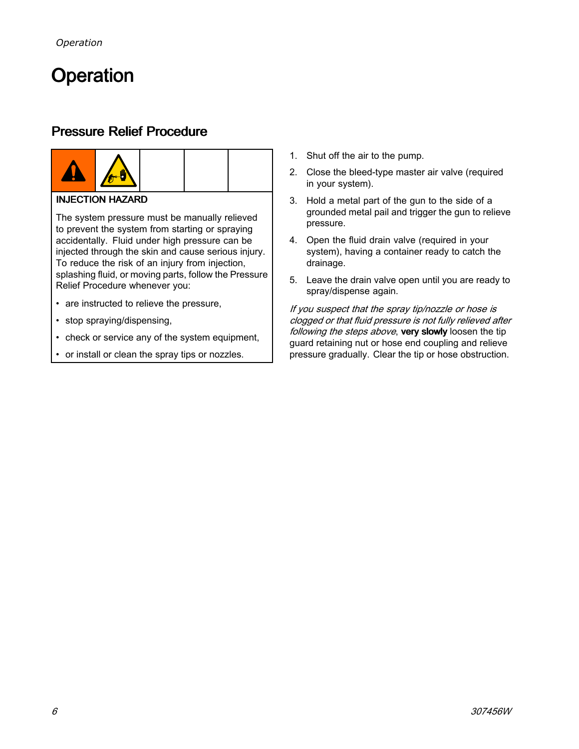## <span id="page-5-0"></span>Operation

### Pressure Relief Procedure





#### **INJECTION HAZARD**

The system pressure must be manually relieved to prevent the system from starting or spraying accidentally. Fluid under high pressure can be injected through the skin and cause serious injury. To reduce the risk of an injury from injection, splashing fluid, or moving parts, follow the Pressure Relief Procedure whenever you:

- are instructed to relieve the pressure,
- stop spraying/dispensing,
- check or service any of the system equipment,
- •or install or clean the spray tips or nozzles.
- 1. Shut off the air to the pump.
- 2. Close the bleed-type master air valve (required in your system).
- 3. Hold <sup>a</sup> metal part of the gun to the side of <sup>a</sup> grounded metal pail and trigger the gun to relieve pressure.
- 4. Open the fluid drain valve (required in your system), having <sup>a</sup> container ready to catch the drainage.
- 5. Leave the drain valve open until you are ready to spray/dispense again.

If you suspect that the spray tip/nozzle or hose is clogged or that fluid pressure is not fully relieved after following the steps above, very slowly loosen the tip guard retaining nut or hose end coupling and relieve pressure gradually. Clear the tip or hose obstruction.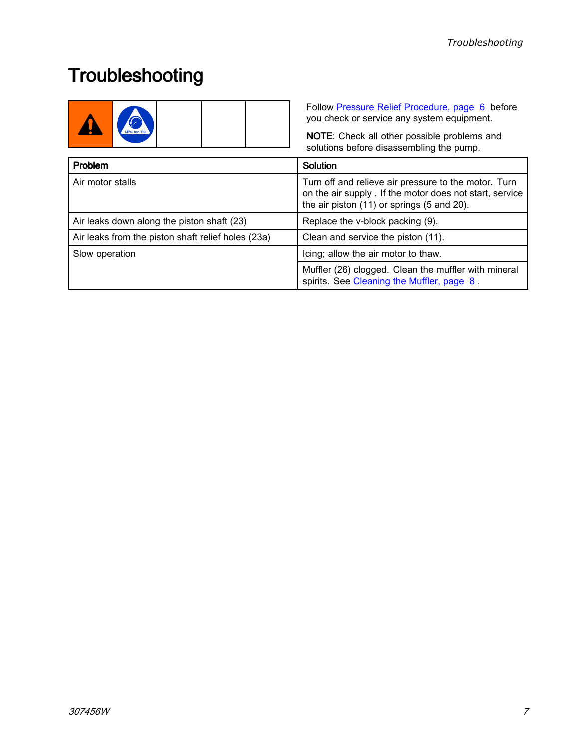## <span id="page-6-0"></span>**Troubleshooting**

|                                                    | Follow Pressure Relief Procedure, page 6 before<br>you check or service any system equipment.<br>NOTE: Check all other possible problems and<br>solutions before disassembling the pump. |  |
|----------------------------------------------------|------------------------------------------------------------------------------------------------------------------------------------------------------------------------------------------|--|
| Problem                                            | <b>Solution</b>                                                                                                                                                                          |  |
| Air motor stalls                                   | Turn off and relieve air pressure to the motor. Turn<br>on the air supply . If the motor does not start, service<br>the air piston (11) or springs (5 and 20).                           |  |
| Air leaks down along the piston shaft (23)         | Replace the v-block packing (9).                                                                                                                                                         |  |
| Air leaks from the piston shaft relief holes (23a) | Clean and service the piston (11).                                                                                                                                                       |  |
| Slow operation                                     | Icing; allow the air motor to thaw.                                                                                                                                                      |  |
|                                                    | Muffler (26) clogged. Clean the muffler with mineral<br>spirits. See Cleaning the Muffler, page 8.                                                                                       |  |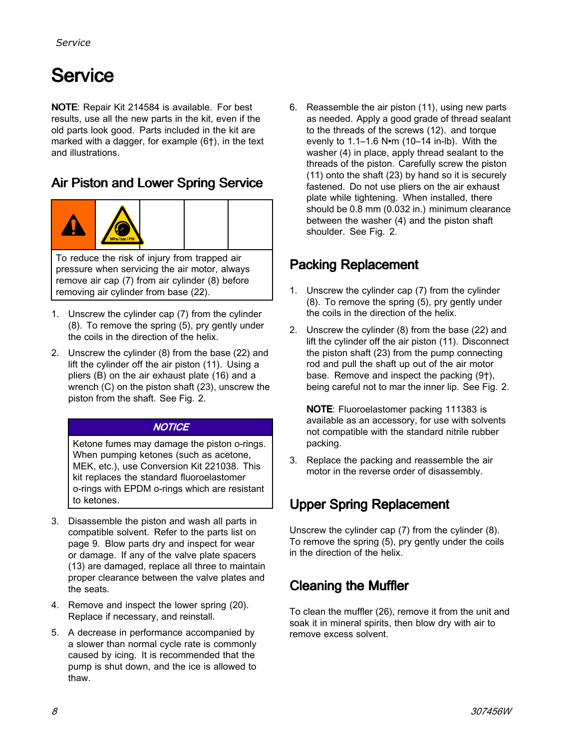## <span id="page-7-0"></span>**Service**

NOTE: Repair Kit <sup>214584</sup> is available. For best results, use all the new parts in the kit, even if the old parts look good. Parts included in the kit are marked with <sup>a</sup> dagger, for example (6†), in the text and illustrations.

### Air Piston and Lower Spring Service



To reduce the risk of injury from trapped air pressure when servicing the air motor, always remove air cap (7) from air cylinder (8) before removing air cylinder from base (22).

- 1. Unscrew the cylinder cap (7) from the cylinder (8). To remove the spring (5), pry gently under the coils in the direction of the helix.
- 2. Unscrew the cylinder (8) from the base (22) and lift the cylinder off the air piston (11). Using <sup>a</sup> pliers (B) on the air exhaust plate (16) and <sup>a</sup> wrench (C) on the piston shaft (23), unscrew the piston from the shaft. See Fig. 2.

#### **NOTICE**

Ketone fumes may damage the piston o-rings. When pumping ketones (such as acetone, MEK, etc.), use Conversion Kit 221038. This kit replaces the standard fluoroelastomer o-rings with EPDM o-rings which are resistant to ketones.

- 3. Disassemble the piston and wash all parts in compatible solvent. Refer to the parts list on page 9. Blow parts dry and inspect for wear or damage. If any of the valve plate spacers (13) are damaged, replace all three to maintain proper clearance between the valve plates and the seats.
- 4. Remove and inspect the lower spring (20). Replace if necessary, and reinstall.
- 5. <sup>A</sup> decrease in performance accompanied by <sup>a</sup> slower than normal cycle rate is commonly caused by icing. It is recommended that the pump is shut down, and the ice is allowed to thaw.

6. Reassemble the air piston (11), using new parts as needed. Apply <sup>a</sup> good grade of thread sealant to the threads of the screws (12). and torque evenly to 1.1–1.6 <sup>N</sup>•<sup>m</sup> (10–14 in-lb). With the washer (4) in place, apply thread sealant to the threads of the piston. Carefully screw the piston (11) onto the shaft (23) by hand so it is securely fastened. Do not use pliers on the air exhaust plate while tightening. When installed, there should be 0.8 mm (0.032 in.) minimum clearance between the washer (4) and the piston shaft shoulder. See Fig. 2.

### Packing Replacement

- 1. Unscrew the cylinder cap (7) from the cylinder (8). To remove the spring (5), pry gently under the coils in the direction of the helix.
- 2. Unscrew the cylinder (8) from the base (22) and lift the cylinder off the air piston (11). Disconnect the piston shaft (23) from the pump connecting rod and pull the shaft up out of the air motor base. Remove and inspect the packing (9†), being careful not to mar the inner lip. See Fig. 2.

NOTE: Fluoroelastomer packing <sup>111383</sup> is available as an accessory, for use with solvents not compatible with the standard nitrile rubber packing.

3. Replace the packing and reassemble the air motor in the reverse order of disassembly.

### Upper Spring Replacement

Unscrew the cylinder cap (7) from the cylinder (8). To remove the spring (5), pry gently under the coils in the direction of the helix.

### Cleaning the Muffler

To clean the muffler (26), remove it from the unit and soak it in mineral spirits, then blow dry with air to remove excess solvent.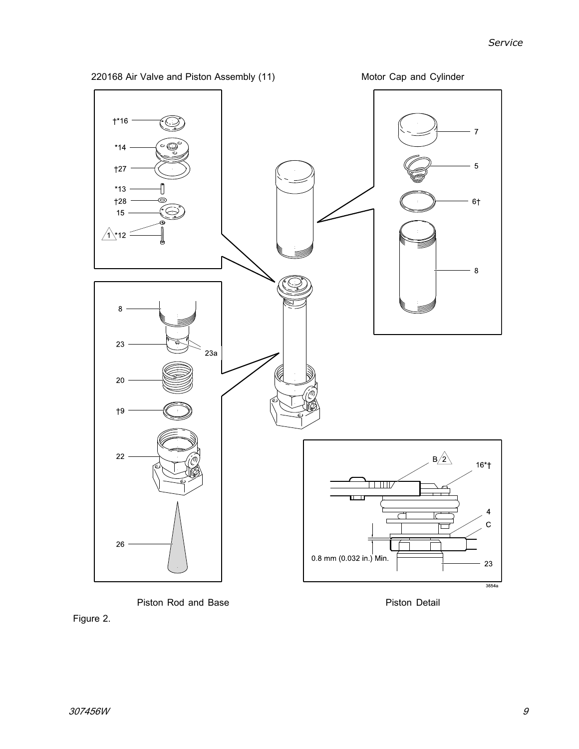

Piston Rod and Base **Piston Detail** 

Figure 2.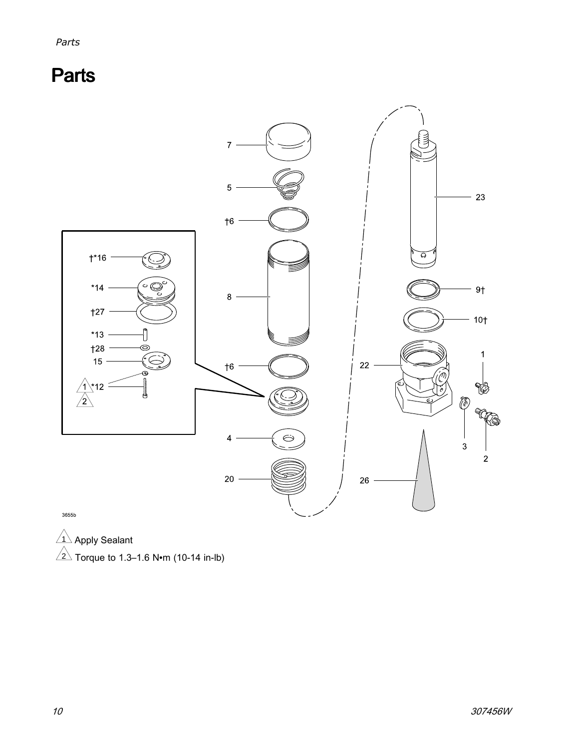<span id="page-9-0"></span>**Parts** 



 $\frac{1}{\wedge}$  Apply Sealant

 $2\sqrt{ }$  Torque to 1.3–1.6 N•m (10-14 in-lb)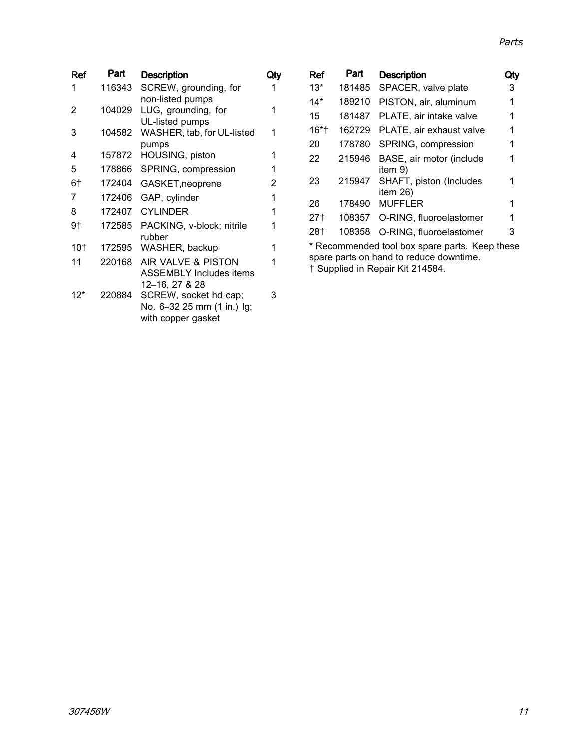| Ref | Part   | <b>Description</b>             | Qty |
|-----|--------|--------------------------------|-----|
| 1   | 116343 | SCREW, grounding, for          | 1   |
|     |        | non-listed pumps               |     |
| 2   | 104029 | LUG, grounding, for            | 1   |
|     |        | UL-listed pumps                |     |
| 3   | 104582 | WASHER, tab, for UL-listed     |     |
|     |        | pumps                          |     |
| 4   | 157872 | HOUSING, piston                | 1   |
| 5   | 178866 | SPRING, compression            | 1   |
| 6†  | 172404 | GASKET, neoprene               | 2   |
| 7   | 172406 | GAP, cylinder                  | 1   |
| 8   | 172407 | <b>CYLINDER</b>                | 1   |
| 9†  | 172585 | PACKING, v-block; nitrile      | 1   |
|     |        | rubber                         |     |
| 10† | 172595 | WASHER, backup                 | 1   |
| 11  | 220168 | AIR VALVE & PISTON             | 1   |
|     |        | <b>ASSEMBLY Includes items</b> |     |
|     |        | 12-16, 27 & 28                 |     |
| 12* | 220884 | SCREW, socket hd cap;          | 3   |
|     |        | No. 6-32 25 mm (1 in.) lg;     |     |
|     |        | with copper gasket             |     |
|     |        |                                |     |

|                                                                                                                                      | Ref     | Part   | <b>Description</b>                  | Jtν |
|--------------------------------------------------------------------------------------------------------------------------------------|---------|--------|-------------------------------------|-----|
|                                                                                                                                      | $13*$   | 181485 | SPACER, valve plate                 | 3   |
|                                                                                                                                      | 14*     | 189210 | PISTON, air, aluminum               | 1   |
|                                                                                                                                      | 15      | 181487 | PLATE, air intake valve             | 1   |
|                                                                                                                                      | $16*$ † | 162729 | PLATE, air exhaust valve            |     |
|                                                                                                                                      | 20      | 178780 | SPRING, compression                 | 1   |
|                                                                                                                                      | 22      | 215946 | BASE, air motor (include<br>item 9) |     |
|                                                                                                                                      | 23      | 215947 | SHAFT, piston (Includes<br>item 26) | 1   |
|                                                                                                                                      | 26      | 178490 | <b>MUFFLER</b>                      |     |
|                                                                                                                                      | 27†     | 108357 | O-RING, fluoroelastomer             | 1   |
|                                                                                                                                      | 28†     | 108358 | O-RING, fluoroelastomer             | 3   |
| * Recommended tool box spare parts. Keep these<br>spare parts on hand to reduce downtime.<br>$\pm$ Currelia della Danain I/3 O4 4504 |         |        |                                     |     |

† Supplied in Repair Kit 214584.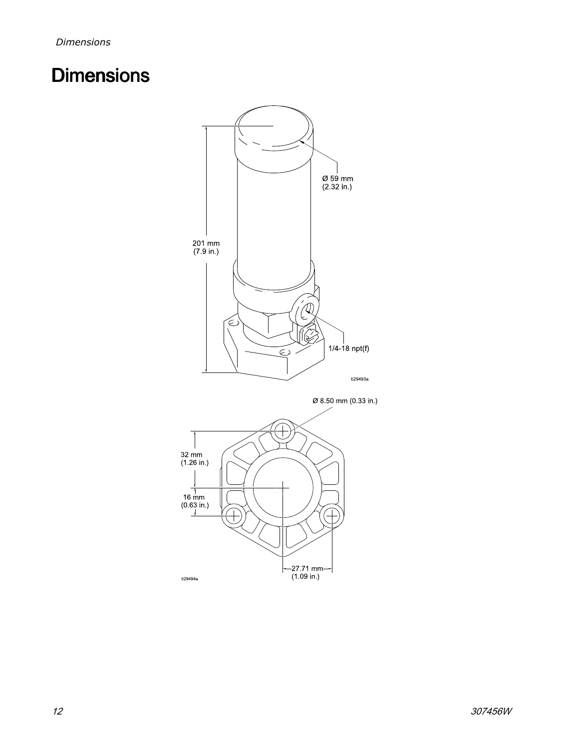## <span id="page-11-0"></span>**Dimensions**



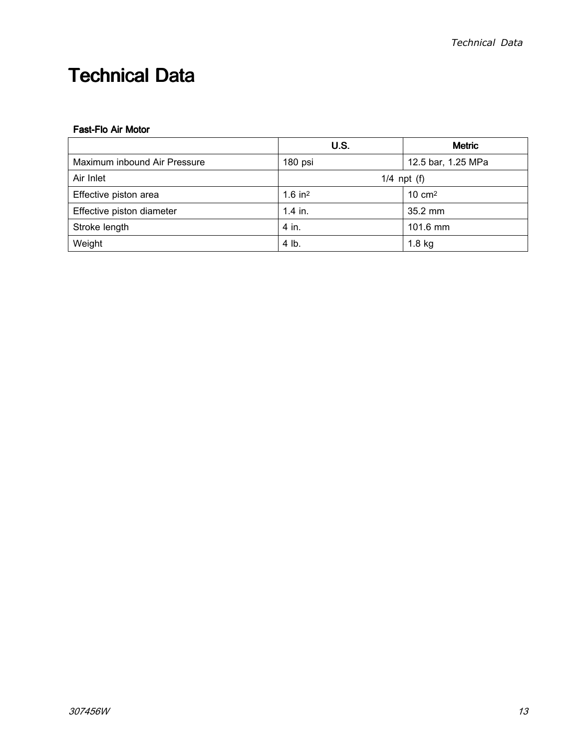## <span id="page-12-0"></span>**Technical Data**

#### Fast-Flo Air Motor

|                              | <b>U.S.</b>           | <b>Metric</b>      |
|------------------------------|-----------------------|--------------------|
| Maximum inbound Air Pressure | 180 psi               | 12.5 bar, 1.25 MPa |
| Air Inlet                    | $1/4$ npt $(f)$       |                    |
| Effective piston area        | $1.6$ in <sup>2</sup> | $10 \text{ cm}^2$  |
| Effective piston diameter    | $1.4$ in.             | $35.2$ mm          |
| Stroke length                | 4 in.                 | 101.6 mm           |
| Weight                       | 4 lb.                 | $1.8$ kg           |